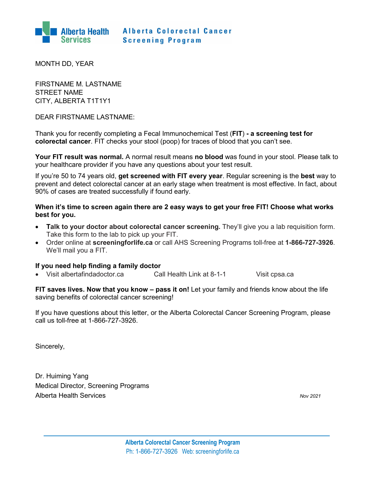

MONTH DD, YEAR

FIRSTNAME M. LASTNAME STREET NAME CITY, ALBERTA T1T1Y1

DEAR FIRSTNAME LASTNAME:

Thank you for recently completing a Fecal Immunochemical Test (**FIT**) **- a screening test for colorectal cancer**. FIT checks your stool (poop) for traces of blood that you can't see.

**Your FIT result was normal.** A normal result means **no blood** was found in your stool. Please talk to your healthcare provider if you have any questions about your test result.

If you're 50 to 74 years old, **get screened with FIT every year**. Regular screening is the **best** way to prevent and detect colorectal cancer at an early stage when treatment is most effective. In fact, about 90% of cases are treated successfully if found early.

## **When it's time to screen again there are 2 easy ways to get your free FIT! Choose what works best for you.**

- **Talk to your doctor about colorectal cancer screening.** They'll give you a lab requisition form. Take this form to the lab to pick up your FIT.
- Order online at **screeningforlife.ca** or call AHS Screening Programs toll-free at **1-866-727-3926**. We'll mail you a FIT.

## **If you need help finding a family doctor**

• Visit albertafindadoctor.ca Call Health Link at 8-1-1 Visit [cpsa.ca](http://www.cpsa.ab.ca/)

**FIT saves lives. Now that you know – pass it on!** Let your family and friends know about the life saving benefits of colorectal cancer screening!

If you have questions about this letter, or the Alberta Colorectal Cancer Screening Program, please call us toll-free at 1-866-727-3926.

Sincerely,

Dr. Huiming Yang Medical Director, Screening Programs Alberta Health Services *Nov 2021*